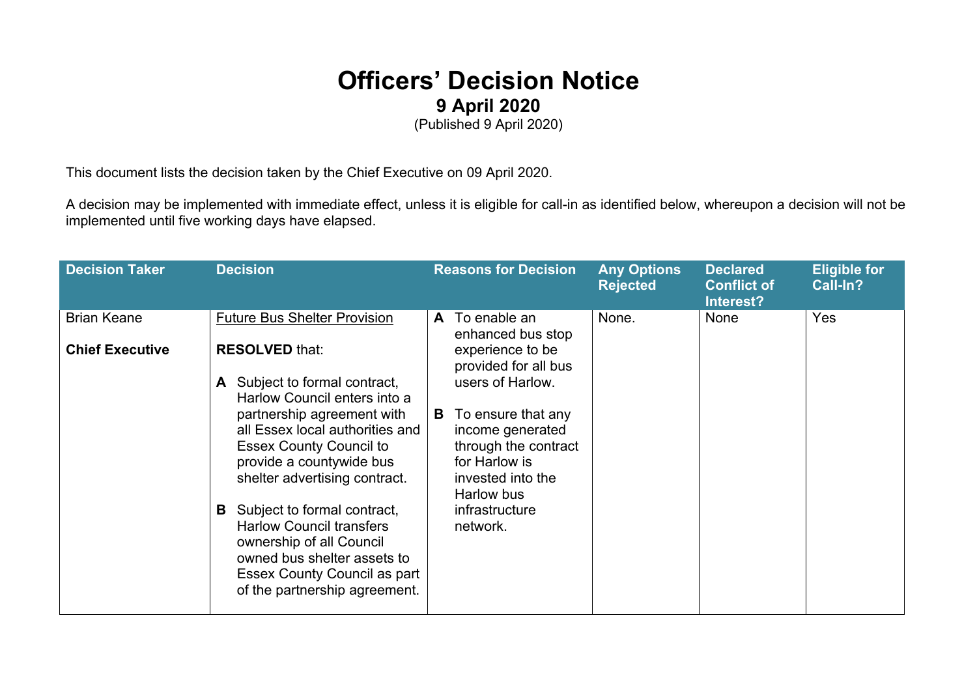## **Officers' Decision Notice 9 April 2020**

(Published 9 April 2020)

This document lists the decision taken by the Chief Executive on 09 April 2020.

A decision may be implemented with immediate effect, unless it is eligible for call-in as identified below, whereupon a decision will not be implemented until five working days have elapsed.

| <b>Decision Taker</b>                        | <b>Decision</b>                                                                                                                                                                                                             | <b>Reasons for Decision</b>                                                                                                                 | <b>Any Options</b><br><b>Rejected</b> | <b>Declared</b><br><b>Conflict of</b><br>Interest? | <b>Eligible for</b><br>Call-In? |
|----------------------------------------------|-----------------------------------------------------------------------------------------------------------------------------------------------------------------------------------------------------------------------------|---------------------------------------------------------------------------------------------------------------------------------------------|---------------------------------------|----------------------------------------------------|---------------------------------|
| <b>Brian Keane</b><br><b>Chief Executive</b> | <b>Future Bus Shelter Provision</b><br><b>RESOLVED that:</b>                                                                                                                                                                | To enable an<br>A<br>enhanced bus stop<br>experience to be<br>provided for all bus                                                          | None.                                 | <b>None</b>                                        | Yes                             |
|                                              | Subject to formal contract,<br>Harlow Council enters into a<br>partnership agreement with<br>all Essex local authorities and<br><b>Essex County Council to</b><br>provide a countywide bus<br>shelter advertising contract. | users of Harlow.<br>To ensure that any<br>B<br>income generated<br>through the contract<br>for Harlow is<br>invested into the<br>Harlow bus |                                       |                                                    |                                 |
|                                              | Subject to formal contract,<br>B.<br><b>Harlow Council transfers</b><br>ownership of all Council<br>owned bus shelter assets to<br>Essex County Council as part<br>of the partnership agreement.                            | infrastructure<br>network.                                                                                                                  |                                       |                                                    |                                 |